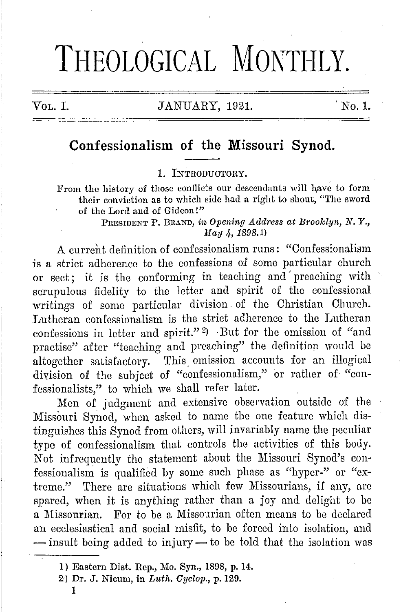# THEOLOGICAL MONTHLY.

#### VOL. I. JANUARY, 1921. 'No.1.

### **Confessionalism of the Missouri Synod.**

#### 1. INTRODUCTORY.

From the history of those conflicts our descendants will have to form their conviction as to which side had a right to shout, "The sword of the Lord and of Gideon!"

> PRESIDENT P. BRAND, *in Opening Address at Broolclyn, N.* Y., *May 4, 1898.1*)

A current definition of confessionalism runs: "Confessionalism is a strict adherence to the confessions of some particular church or sect; it is the conforming in teaching and' preaching with scrupulous fidelity to the letter and. spirit of the confessional writings of some particular division of the Christian Church. Lutheran confessionalism is the strict adherence to the Lutheran confessions in letter and spirit." 2 ) · But for the omission of "and practise" after "teaching and preaching" the definition would be altogether satisfactory. This omission accounts for an illogical diyision of the subject of "confessionalism," or rather of "con- :fessionalists," to which we shall refer later.

Men of judgment and extensive observation outside of the Missouri Synod, when asked to name the one feature which distinguishes this Synod from others, will invariably name the peculiar type of confessionalism that controls the activities of this body. Not infrequently the statement about the Missouri Synod's confessionalism is qualified by some such phase as "hyper-" or "extreme." There are situations which few Missourians, if any, are spared, when it is anything rather than a joy and delight to be a Missourian. For to be a Missourian often means to be declared an ecclesiastical and social misfit, to be forced into isolation, and - insult being added to injury- to be told that the isolation was

<sup>1)</sup> Eastern Dist. Rep., Mo. Syn., 1808, p. 14.

<sup>2)</sup> Dr. J. Nicmn, in *Liith. Cyelop.,* p. 120.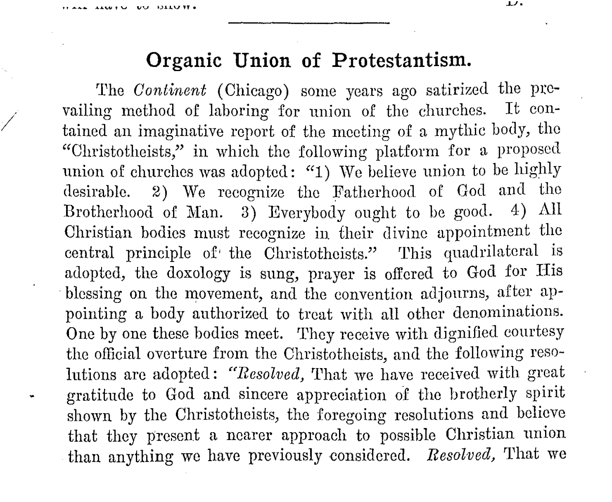/

## **Organic Union of Protestantism.**

The *Continent* (Chicago) some years ago satirized the prevailing method of laboring for union of the churches. It contained an imaginative report of the meeting of a mythic body, the "Ohristothcists," in which the following platform for a proposed union of churches was adopted: "1) We believe union to be highly desirable. 2) We recognize the Fatherhood of God and the Brotherhood of Man. 3) Everybody ought to be good. 4) All Christian bodies must recognize in their divine appointment the central principle of the Christotheists." This quadrilateral is adopted, the doxology is sung, prayer is offered to God for His blessing on the movement, and the convention adjourns, after appointing a body authorized to treat with all other denominations. One by one these bodies meet. They receive with dignified courtesy the official overture from the Christotheists, and the following resolutions arc adopted: *"Resolved,* 'l'hat we have received with great gratitude to God and sincere appreciation of tho brotherly spirit shown by the Ohristothcists, the foregoing resolutions and believe that they present a nearer approach to possible Christian union than anything we have previously considered. *Resolved,* 'l'hat we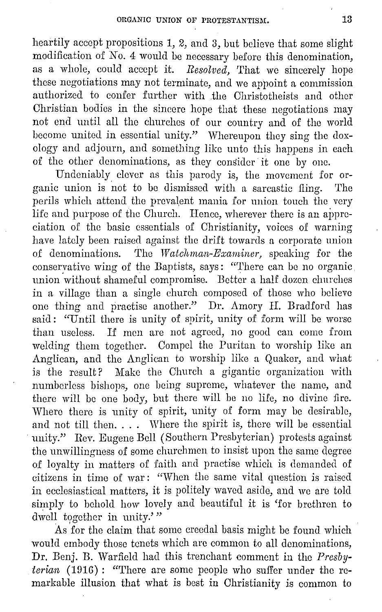heartily accept propositions 1, 2, and 3, but believe that some slight modification of *No.* 4 would be necessary before this denomination, as a whole, could accept it. *Resolved,* That we sincerely hope these negotiations may not terminate, and we appoint a commission authorized to confer further with the Christotheists and other Christian bodies in the sincere hope that these negotiations may not end until all the churches of our country and of the world become united in essential unity." Whereupon they sing the doxology and adjourn, and something like unto this happens in each of the other denominations, as they consider it one by one.

Undeniably clever as this parody is, the movement for organic union is not to be dismissed with a sarcastic fling. The perils which attend the prevalent mania for union touch the very life and purpose of the Church. Hence, wherever there is an appreciation of the basic essentials of Christianity, voices of warning have lately been raised against the drift towards a corporate union of denominations. The *Watchman-Examiner*, speaking for the conservative wing of the Baptists, says: "There can be no organic union without shameful compromise. Better a half dozen churches in a village than a single church composed of those who believe one thing and practise another." Dr. Amory II. Bradford has said: "Until there is unity of spirit, unity of form will be worse than useless. If men are not agreed, no good can come from welding them together. Compel the Puritan to worship like an Anglican, and the Anglican to worship like a Quaker, and what is the result? Make the Church a gigantic organization with numberless bishops, one being supreme, whatever the name, and there will be one body, but there will be no life, no divine fire. Where there is unity of spirit, unity of form may be desirable, and not till then. . . . Where the spirit is, there will be essential unity." Rev. Eugene Bell (Southern Presbyterian) protests against the unwillingness of some churchmen to insist upon the same degree of loyalty in matters of faith and practise which is demanded of citizens in time of war: "When the same vital question is raised in ecclesiastical matters, it is politely waved aside, and we arc told simply to behold how lovely and beautiful it is 'for brethren to dwell together in unity.'"

As for the claim that some creedal basis might be found which would embody those tenets which are common to all denominations, Dr. Benj. B. Warfield had this trenchant comment in the *Presbyterian* (1916): "There are some people who suffer under the remarkable illusion that what is best in Christianity is common to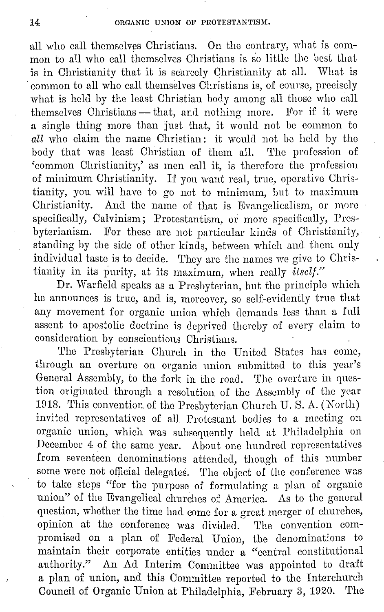all who call themselves Christians. On the contrary, what is common to all who call themselves Christians is so little the best that is in Christianity that it is scarcely Christianity at all. What is common to all who call themselves Christians is, of course, precisely what is held by the least Christian body among all those who call themselves Christians - that, and nothing more. For if it were a single thing more than just that, it would not be common to *all* who claim the name Christian: it would not be held by the body that was least Christian of them all. The profession of body that was least Christian of them all. 'common Christianity,' as men call it, is therefore the profession of minimum Christianity. If you want real, true, operative Christianity, you will have to go not to minimum, but to maximum Christianity. And the name of that is Evangelicalism, or more specifically, Calvinism; Protestantism, or more specifically, Presbyterianism. For these arc not particular kinds of Christianity, standing by the side of other kinds, between which and them only individual taste is to decide. They are the names we give to Christianity in its purity, at its maximum, when really *ilsclf."* 

Dr. Warfield speaks as a Presbyterian, but the principle which he announces is true, and is, moreover, so seli-evidently true that any movement for organic union which demands less than a full assent to apostolic doctrine is deprived thereby of every claim to consideration by conscientious Christians.

The Presbyterian Church in the United States has come, through an overture on organic union submitted to this year's General Assembly, to the fork in the road. The overture in question originated through a resolution of the Assembly of the year 1918. This convention of the Presbyterian Church U.S. A. (North) invited representatives of all Protestant bodies to a meeting on organic union, which was subsequently held at Philadelphia on December 4 of the same year. About one hundred representatives from seventeen denominations attended, though of this number some were not official delegates. The object of the conference was to take stops "for the purpose of formulating a plan of organic union" of the Evangelical churches of America. As to the general question, whether the time had come for a great merger of churches, opinion at the conference was div:ided. 'l'he convention compromised on a plan of Federal Union, the denominations to maintain their corporate entities under a "central constitutional authority." An Ad Interim Committee was appointed to draft a plan of union, and this Committee reported to the Interchurch Council of Organic Union at Philadelphia, February 3, 1920. The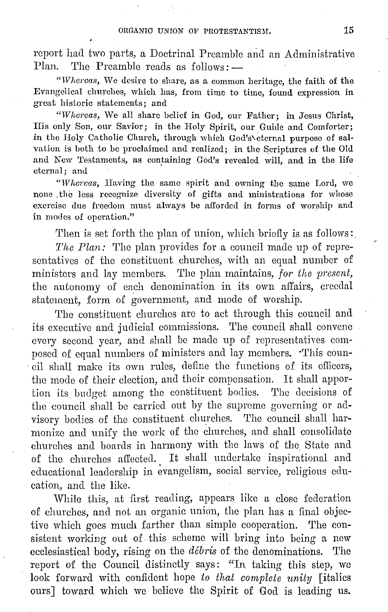report had two parts, a Doctrinal Preamble and an Administrative Plan. The Preamble reads as  $follows:$ 

"Whercas, We desire to share, as a common heritage, the faith of the Evangelical churches, which has, from time to time, found expression in great historic statements; and

"Whereas, We all share belief in God, our Father; in Jesus Christ, His only Son, our Savior; in the Holy Spirit, our Guide and Comforter; in the Holy Catholic Church, through which God's\eternal purpose of salvation is both to be proclaimed and realized; in the Scriptures of the Old and New Testaments, as containing God's revealed will, and in the life eternal; and

"Whereas, Having the same spirit and owning the same Lord, we none , the less recognize diversity of gifts and ministrations for whose exercise due freedom must always be afforded in forms of worship and in modes of operation."

Then is set forth the plan of union, which briefly is as follows:

*The Plan:* The plan provides for a council made up of representatives of the constituent churches, with an equal number of ministers and lay members. The plan maintains, *for the present*, the autonomy of each denomination in its own affairs, creedal statement, form of government, and mode of worship.

The constituent churches are to act through this council and its executive and judicial commissions. The council shall convene every second year, and shall be made up of representatives composed of equal numbers of ministers and lay members. 'This council shall make its own rules, define the functions of its oflicers, the mode of their election, and their compensation. It shall apportion its budget among the constituent bodies. The decisions of the council shall be carried out by the supreme governing or advisory bodies of the constituent churches. The council shall harmonize and unify the work of the churches, and shall consolidate churches and boards in harmony with the laws of the. State and of the churches affected. It shall undertake inspirational and educational leadership in evangelism, social service, religious education, and the like.

While this, at first reading, appears like a close federation of churches, and not an organic union, the plan has a final objective which goes much farther than simple cooperation. The consistent working out of. this scheme will bring into being a new ecclesiastical body, rising on the *débris* of the denominations. The report of the Council distinctly says: "In taking this step, we look forward with confident hope to that complete unity *fitalics* ours] toward which we believe the Spirit of God is leading us.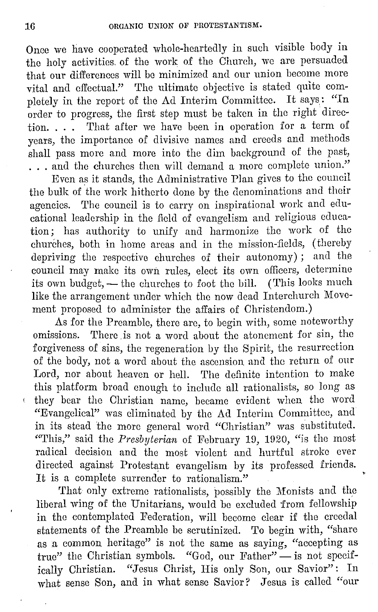Once we have cooperated whole-heartedly in such visible body in the holy activities, of the work of the Church, we are persuaded that our differences will be minimized and our union become more vital and effectual." The ultimate objective is stated quite completely in the report of the Ad Interim Committee. It says: "In order to progress, the first step must be taken in the right direction. . . . 'I'hat after we have been in operation for a term of years, the importance of divisive names and creeds and methods shall pass more and more into the dim background of the past, ... and the churches then will demand a more complete union."

Even as it stands, the Administrative Plan gives to the council the bulk of the work hitherto done by the denominations and their agencies. The council is to carry on inspirational work and educational leadership in the field of evangelism and religious education; has authority to unify and harmonize tho work of the churches, both in home areas and in the mission-fields, ( thereby depriving the respective churches of their autonomy) ; and the council may make its own rules, elect its own officers, determine its own budget, - the churches to foot the bill. (This looks much like the arrangement under which the now dead Interchurch Movement proposed to administer the affairs of Christendom.)

As for the Preamble, there are, to begin with, some noteworthy omissions. There is not a word about the atonement for sin, the forgiveness of sins, the regeneration by the Spirit, the resurrection of the body, not a word about the ascension and tho return of our Lord, nor about heaven or hell. The definite intention to make this platform broad enough to include all rationalists, so long as they bear the Christian name, became evident when the word "Evangelical" was eliminated by the Ad Interim Committee, and in its stead the more general word "Christian" was substituted. "This," said the *Presbyterian* of February 19, 1920, "is the most radical decision and the most violent and hurtful stroke ever directed against Protestant evangelism by its professed friends. It is a complete surrender to rationalism."

'I'hat only extreme rationalists, possibly the Monists and the liberal wing of the Unitarians, would be excluded from fellowship in the contemplated Federation, will become clear if the creedal statements of the Preamble be scrutinized. To begin with, "share as a common heritage" is not the same as saying, "accepting as true" the Christian symbols. "God, our Father"- is not specifically Christian. "Jesus Christ, His only Son, our Savior": In what sense Son, and in what sense Savior? Jesus is called "our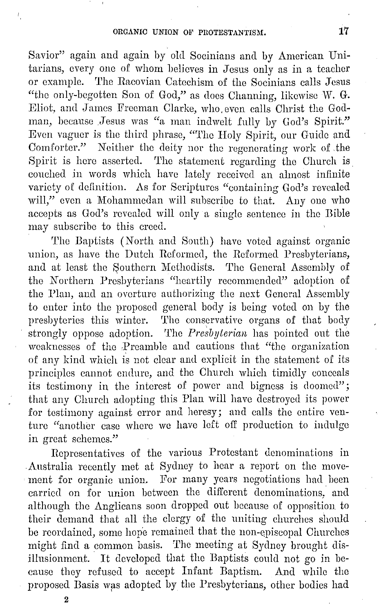Savior" again and again by old Socinians and by American Unitarians, every one of whom believes in Jesus only as in a teacher or example. The Racovian Catechism of the Socinians calls Jesus "the only-begotten Son of God," as does Channing, likewise W. G. Eliot, and James Freeman Clarke, who even calls Christ the Godman, because .Jesus was "a man indwelt fully by God's Spirit." Even vaguer is the third phrase, "'l'hc Holy Spirit, our Guide and Comforter." Neither the deity nor the regenerating work of .the Spirit is here asserted. The statement regarding the Church is couched in words which have lately received an almost infinite variety of definition. As for Scriptures "containing God's revealed will," even a Mohammedan will subscribe to that. Any one who accepts as God's revealed will only a single sentence in the Bible may subscribe to this creed.

The Baptists (North and South) have voted against organic union, as have the Dutch Reformed, the Reformed Presbyterians, and at least the Southern Methodists. The General Assembly of the Northern Presbyterians "heartily recommended" adoption of the Plan, and an overture authorizing the next General Assembly to enter into the proposed general body is being voted on by the presbyteries this winter. The conservative organs of that body strongly oppose adoption. The *Presbyterian* has pointed out the weaknesses of the Preamble and cautions that "the organization of any kind which is not clear and explicit in the statement of its principles cannot endure, and the Church which timidly conceals its testimony in the interest of power and bigness is doomed"; that any Church adopting this Plan will have destroyed its power for testimony against error and heresy; and calls the entire venture "another case where we have left off production to indulge in great schemes."

Representatives of the various Protestant denominations in Australia recently met at Sydney to hear a report on the movement for organic union. For many years negotiations had been carried on for union between the different denominations, aml although the Anglicans soon dropped out because of opposition to their demand that all the clergy of the uniting churches should be reordained, some hope remained that the non-episcopal Churches might find a common basis. The meeting at Sydney brought disillusionment. It developed that the Baptists could not go in because they refused to accept Infant Baptism. And while the proposed Basis was adopted by the Presbyterians, other bodies had

2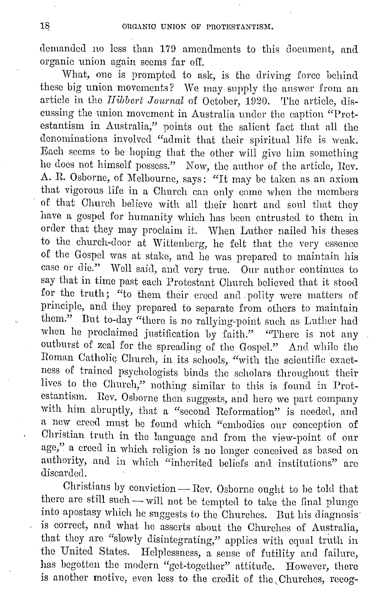demanded no less than 179 amendments to this document, and organic union again. seems far off.

What, one is prompted to ask, is the driving force behind these big union movements? We may supply the answer from an article in the *Hibbert Journal* of October, 1920. The article, discussing the union movement in Australia under the caption "Protestantism in Australia," points out the salient fact that all the denominations involvc<l "admit that their spiritual life is weak. Each seems to be hoping that the other will give him something he docs not himself possess." Now, the author of: the article, Rev. A. R. Osborne, of Melbourne, says: "It may be taken as an axiom that vigorous life in a Church can only come when the members of that Church believe with all their heart and soul that they have a gospel for humanity which has been entrusted to them in order that they may proclaim it. When Luther nailed his theses to the church-door at Wittenberg, he felt that the very essence of: the Gospel was at stake, and he was prepared to maintain his case or die." Well said, and very true. Onr author continues to say that in time past each Protestant Church believed that it stood for the truth; "to them their creed and polity were matters of principle, and they prepared to separate from others to maintain them." But to-day "there is no rallying-point such as Luther had when he proclaimed justification by faith." "There is not any outburst of zeal for the spreading of the Gospel." And while the Roman Catholic Church, in its schools, "with the scientific exactness of trained psychologists binds the scholars throughout their lives to the Church," nothing similar to this is found in Protestantism. Rev. Osborne then suggests, and here wc part company with him abruptly, that a "second Reformation" is needed, and a new creed must be found which "embodies our conception of Christian truth in the language and from the view-point of our age," a creed in which religion is no longer conceived as based on authority, and in which "inherited beliefs and institutions" arc discarded.

Christians by conviction  $-$  Rev. Osborne ought to be told that there are still such- will not be tempted to take the final plunge into apostasy which he suggests to tho Churches. But his diagnosis· is correct, and what he asserts about the Churches of Australia, that they are "slowly disintegrating," applies with equal truth in the United States. Helplessness, a sense of futility and failure, has begotten the modern "get-together" attitude. However, there is another motive, even less to the credit of the Churches, recog-

 $\ddot{\phantom{a}}$